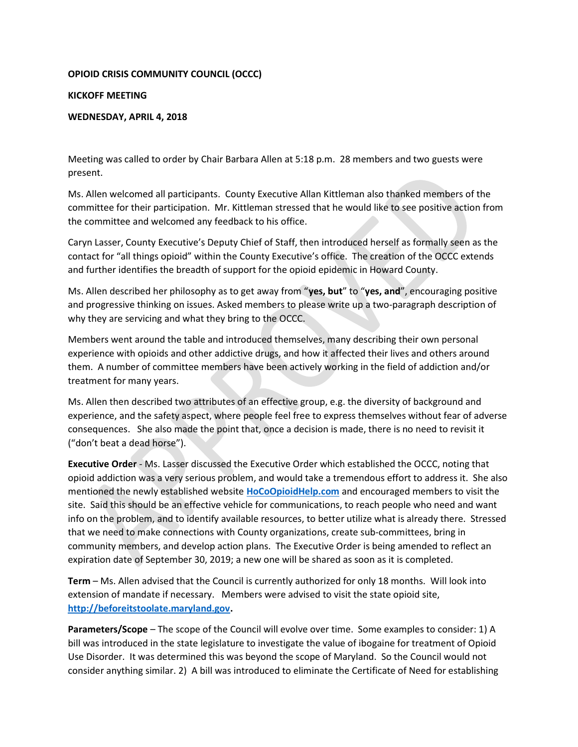## OPIOID CRISIS COMMUNITY COUNCIL (OCCC)

## KICKOFF MEETING

## WEDNESDAY, APRIL 4, 2018

Meeting was called to order by Chair Barbara Allen at 5:18 p.m. 28 members and two guests were present.

Ms. Allen welcomed all participants. County Executive Allan Kittleman also thanked members of the committee for their participation. Mr. Kittleman stressed that he would like to see positive action from the committee and welcomed any feedback to his office.

Caryn Lasser, County Executive's Deputy Chief of Staff, then introduced herself as formally seen as the contact for "all things opioid" within the County Executive's office. The creation of the OCCC extends and further identifies the breadth of support for the opioid epidemic in Howard County.

Ms. Allen described her philosophy as to get away from "yes, but" to "yes, and", encouraging positive and progressive thinking on issues. Asked members to please write up a two-paragraph description of why they are servicing and what they bring to the OCCC.

Members went around the table and introduced themselves, many describing their own personal experience with opioids and other addictive drugs, and how it affected their lives and others around them. A number of committee members have been actively working in the field of addiction and/or treatment for many years.

Ms. Allen then described two attributes of an effective group, e.g. the diversity of background and experience, and the safety aspect, where people feel free to express themselves without fear of adverse consequences. She also made the point that, once a decision is made, there is no need to revisit it ("don't beat a dead horse").

Executive Order - Ms. Lasser discussed the Executive Order which established the OCCC, noting that opioid addiction was a very serious problem, and would take a tremendous effort to address it. She also mentioned the newly established website **HoCoOpioidHelp.com** and encouraged members to visit the site. Said this should be an effective vehicle for communications, to reach people who need and want info on the problem, and to identify available resources, to better utilize what is already there. Stressed that we need to make connections with County organizations, create sub-committees, bring in community members, and develop action plans. The Executive Order is being amended to reflect an expiration date of September 30, 2019; a new one will be shared as soon as it is completed.

Term – Ms. Allen advised that the Council is currently authorized for only 18 months. Will look into extension of mandate if necessary. Members were advised to visit the state opioid site, http://beforeitstoolate.maryland.gov.

Parameters/Scope – The scope of the Council will evolve over time. Some examples to consider: 1) A bill was introduced in the state legislature to investigate the value of ibogaine for treatment of Opioid Use Disorder. It was determined this was beyond the scope of Maryland. So the Council would not consider anything similar. 2) A bill was introduced to eliminate the Certificate of Need for establishing